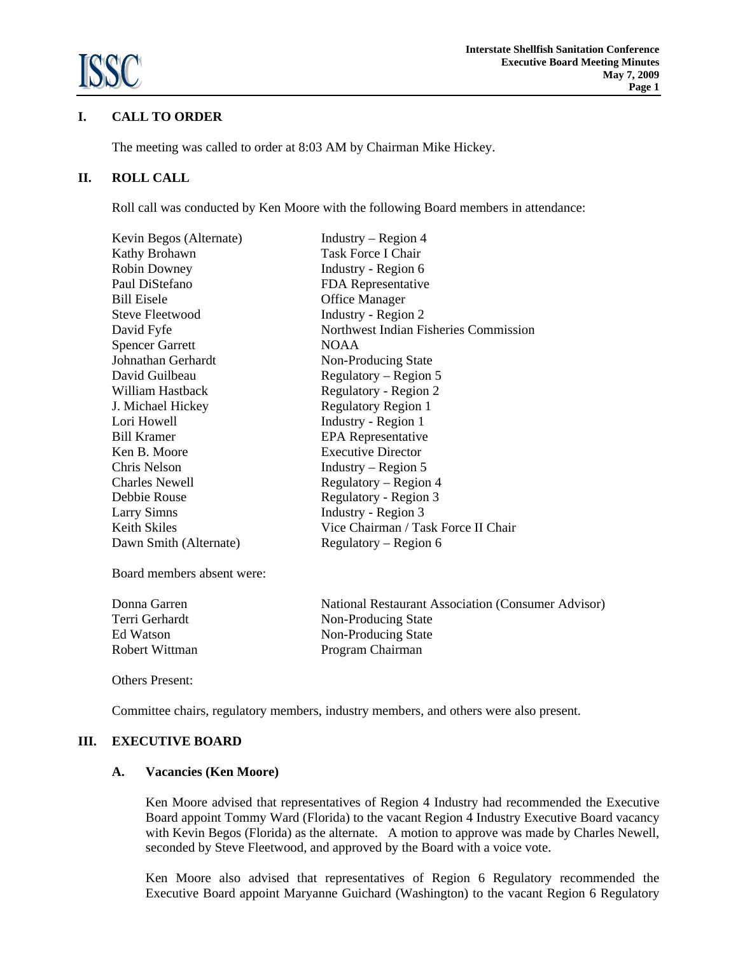

# **I. CALL TO ORDER**

The meeting was called to order at 8:03 AM by Chairman Mike Hickey.

## **II. ROLL CALL**

Roll call was conducted by Ken Moore with the following Board members in attendance:

| Kevin Begos (Alternate) | Industry – Region $4$                 |
|-------------------------|---------------------------------------|
| Kathy Brohawn           | Task Force I Chair                    |
| <b>Robin Downey</b>     | Industry - Region 6                   |
| Paul DiStefano          | FDA Representative                    |
| <b>Bill Eisele</b>      | <b>Office Manager</b>                 |
| <b>Steve Fleetwood</b>  | Industry - Region 2                   |
| David Fyfe              | Northwest Indian Fisheries Commission |
| <b>Spencer Garrett</b>  | <b>NOAA</b>                           |
| Johnathan Gerhardt      | Non-Producing State                   |
| David Guilbeau          | Regulatory – Region 5                 |
| William Hastback        | Regulatory - Region 2                 |
| J. Michael Hickey       | <b>Regulatory Region 1</b>            |
| Lori Howell             | Industry - Region 1                   |
| <b>Bill Kramer</b>      | <b>EPA</b> Representative             |
| Ken B. Moore            | <b>Executive Director</b>             |
| Chris Nelson            | Industry – Region 5                   |
| <b>Charles Newell</b>   | Regulatory – Region 4                 |
| Debbie Rouse            | Regulatory - Region 3                 |
| <b>Larry Simns</b>      | Industry - Region 3                   |
| Keith Skiles            | Vice Chairman / Task Force II Chair   |
| Dawn Smith (Alternate)  | Regulatory – Region 6                 |
|                         |                                       |

Board members absent were:

Donna Garren National Restaurant Association (Consumer Advisor) Terri Gerhardt Non-Producing State Ed Watson Non-Producing State Robert Wittman Program Chairman

Others Present:

Committee chairs, regulatory members, industry members, and others were also present.

#### **III. EXECUTIVE BOARD**

#### **A. Vacancies (Ken Moore)**

 Ken Moore advised that representatives of Region 4 Industry had recommended the Executive Board appoint Tommy Ward (Florida) to the vacant Region 4 Industry Executive Board vacancy with Kevin Begos (Florida) as the alternate. A motion to approve was made by Charles Newell, seconded by Steve Fleetwood, and approved by the Board with a voice vote.

Ken Moore also advised that representatives of Region 6 Regulatory recommended the Executive Board appoint Maryanne Guichard (Washington) to the vacant Region 6 Regulatory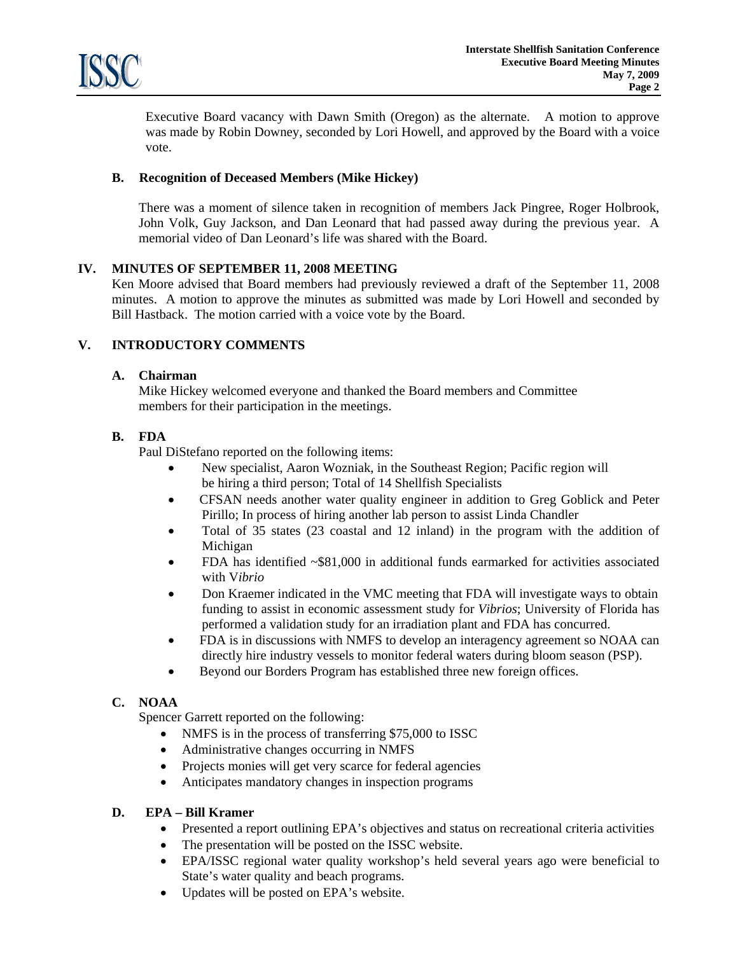

Executive Board vacancy with Dawn Smith (Oregon) as the alternate. A motion to approve was made by Robin Downey, seconded by Lori Howell, and approved by the Board with a voice vote.

# **B. Recognition of Deceased Members (Mike Hickey)**

There was a moment of silence taken in recognition of members Jack Pingree, Roger Holbrook, John Volk, Guy Jackson, and Dan Leonard that had passed away during the previous year. A memorial video of Dan Leonard's life was shared with the Board.

### **IV. MINUTES OF SEPTEMBER 11, 2008 MEETING**

Ken Moore advised that Board members had previously reviewed a draft of the September 11, 2008 minutes. A motion to approve the minutes as submitted was made by Lori Howell and seconded by Bill Hastback. The motion carried with a voice vote by the Board.

# **V. INTRODUCTORY COMMENTS**

### **A. Chairman**

 Mike Hickey welcomed everyone and thanked the Board members and Committee members for their participation in the meetings.

# **B. FDA**

Paul DiStefano reported on the following items:

- New specialist, Aaron Wozniak, in the Southeast Region; Pacific region will be hiring a third person; Total of 14 Shellfish Specialists
- CFSAN needs another water quality engineer in addition to Greg Goblick and Peter Pirillo; In process of hiring another lab person to assist Linda Chandler
- Total of 35 states (23 coastal and 12 inland) in the program with the addition of Michigan
- $FDA$  has identified  $\sim$  \$81,000 in additional funds earmarked for activities associated with V*ibrio*
- Don Kraemer indicated in the VMC meeting that FDA will investigate ways to obtain funding to assist in economic assessment study for *Vibrios*; University of Florida has performed a validation study for an irradiation plant and FDA has concurred.
- FDA is in discussions with NMFS to develop an interagency agreement so NOAA can directly hire industry vessels to monitor federal waters during bloom season (PSP).
- Beyond our Borders Program has established three new foreign offices.

# **C. NOAA**

Spencer Garrett reported on the following:

- NMFS is in the process of transferring \$75,000 to ISSC
- Administrative changes occurring in NMFS
- Projects monies will get very scarce for federal agencies
- Anticipates mandatory changes in inspection programs

### **D. EPA – Bill Kramer**

- Presented a report outlining EPA's objectives and status on recreational criteria activities
- The presentation will be posted on the ISSC website.
- EPA/ISSC regional water quality workshop's held several years ago were beneficial to State's water quality and beach programs.
- Updates will be posted on EPA's website.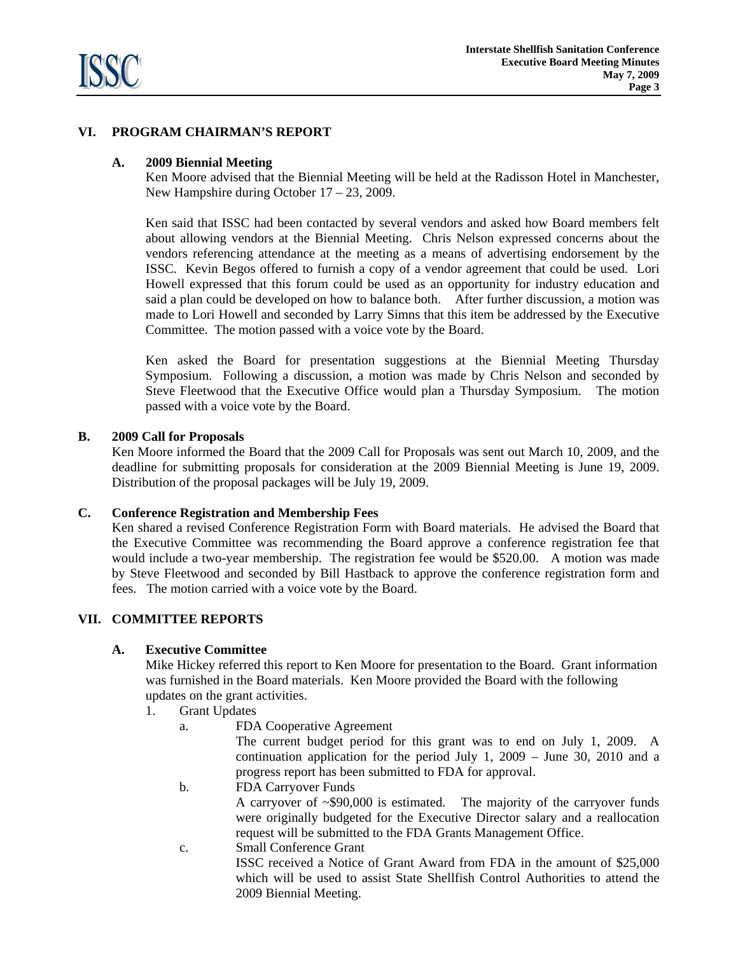

# **VI. PROGRAM CHAIRMAN'S REPORT**

### **A. 2009 Biennial Meeting**

 Ken Moore advised that the Biennial Meeting will be held at the Radisson Hotel in Manchester, New Hampshire during October 17 – 23, 2009.

Ken said that ISSC had been contacted by several vendors and asked how Board members felt about allowing vendors at the Biennial Meeting. Chris Nelson expressed concerns about the vendors referencing attendance at the meeting as a means of advertising endorsement by the ISSC. Kevin Begos offered to furnish a copy of a vendor agreement that could be used. Lori Howell expressed that this forum could be used as an opportunity for industry education and said a plan could be developed on how to balance both. After further discussion, a motion was made to Lori Howell and seconded by Larry Simns that this item be addressed by the Executive Committee. The motion passed with a voice vote by the Board.

 Ken asked the Board for presentation suggestions at the Biennial Meeting Thursday Symposium. Following a discussion, a motion was made by Chris Nelson and seconded by Steve Fleetwood that the Executive Office would plan a Thursday Symposium. The motion passed with a voice vote by the Board.

#### **B. 2009 Call for Proposals**

 Ken Moore informed the Board that the 2009 Call for Proposals was sent out March 10, 2009, and the deadline for submitting proposals for consideration at the 2009 Biennial Meeting is June 19, 2009. Distribution of the proposal packages will be July 19, 2009.

#### **C. Conference Registration and Membership Fees**

 Ken shared a revised Conference Registration Form with Board materials. He advised the Board that the Executive Committee was recommending the Board approve a conference registration fee that would include a two-year membership. The registration fee would be \$520.00. A motion was made by Steve Fleetwood and seconded by Bill Hastback to approve the conference registration form and fees. The motion carried with a voice vote by the Board.

# **VII. COMMITTEE REPORTS**

### **A. Executive Committee**

Mike Hickey referred this report to Ken Moore for presentation to the Board. Grant information was furnished in the Board materials. Ken Moore provided the Board with the following updates on the grant activities.

- 1. Grant Updates
	- a. FDA Cooperative Agreement

The current budget period for this grant was to end on July 1, 2009. A continuation application for the period July 1, 2009 – June 30, 2010 and a progress report has been submitted to FDA for approval.

b. FDA Carryover Funds

A carryover of ~\$90,000 is estimated. The majority of the carryover funds were originally budgeted for the Executive Director salary and a reallocation request will be submitted to the FDA Grants Management Office.

c. Small Conference Grant ISSC received a Notice of Grant Award from FDA in the amount of \$25,000 which will be used to assist State Shellfish Control Authorities to attend the 2009 Biennial Meeting.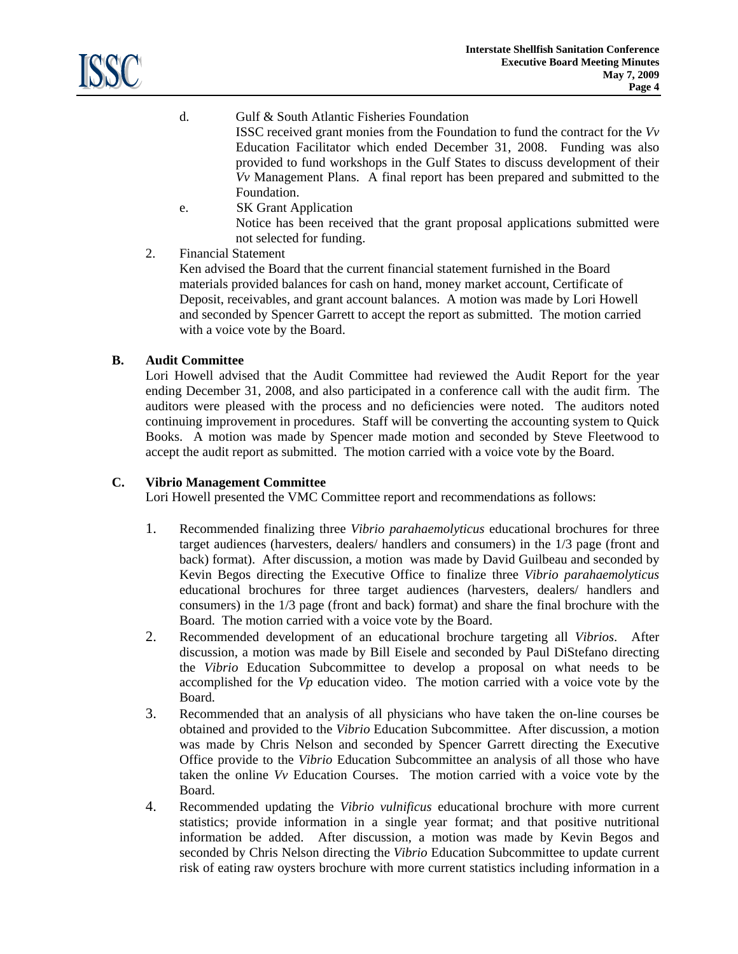

- d. Gulf & South Atlantic Fisheries Foundation ISSC received grant monies from the Foundation to fund the contract for the *Vv* Education Facilitator which ended December 31, 2008. Funding was also provided to fund workshops in the Gulf States to discuss development of their *Vv* Management Plans. A final report has been prepared and submitted to the Foundation.
- e. SK Grant Application Notice has been received that the grant proposal applications submitted were not selected for funding.
- 2. Financial Statement

Ken advised the Board that the current financial statement furnished in the Board materials provided balances for cash on hand, money market account, Certificate of Deposit, receivables, and grant account balances. A motion was made by Lori Howell and seconded by Spencer Garrett to accept the report as submitted. The motion carried with a voice vote by the Board.

# **B. Audit Committee**

 Lori Howell advised that the Audit Committee had reviewed the Audit Report for the year ending December 31, 2008, and also participated in a conference call with the audit firm. The auditors were pleased with the process and no deficiencies were noted. The auditors noted continuing improvement in procedures. Staff will be converting the accounting system to Quick Books. A motion was made by Spencer made motion and seconded by Steve Fleetwood to accept the audit report as submitted. The motion carried with a voice vote by the Board.

## **C. Vibrio Management Committee**

Lori Howell presented the VMC Committee report and recommendations as follows:

- 1. Recommended finalizing three *Vibrio parahaemolyticus* educational brochures for three target audiences (harvesters, dealers/ handlers and consumers) in the 1/3 page (front and back) format). After discussion, a motion was made by David Guilbeau and seconded by Kevin Begos directing the Executive Office to finalize three *Vibrio parahaemolyticus* educational brochures for three target audiences (harvesters, dealers/ handlers and consumers) in the 1/3 page (front and back) format) and share the final brochure with the Board. The motion carried with a voice vote by the Board.
- 2. Recommended development of an educational brochure targeting all *Vibrios*. After discussion, a motion was made by Bill Eisele and seconded by Paul DiStefano directing the *Vibrio* Education Subcommittee to develop a proposal on what needs to be accomplished for the *Vp* education video. The motion carried with a voice vote by the Board.
- 3. Recommended that an analysis of all physicians who have taken the on-line courses be obtained and provided to the *Vibrio* Education Subcommittee. After discussion, a motion was made by Chris Nelson and seconded by Spencer Garrett directing the Executive Office provide to the *Vibrio* Education Subcommittee an analysis of all those who have taken the online *Vv* Education Courses. The motion carried with a voice vote by the Board.
- 4. Recommended updating the *Vibrio vulnificus* educational brochure with more current statistics; provide information in a single year format; and that positive nutritional information be added. After discussion, a motion was made by Kevin Begos and seconded by Chris Nelson directing the *Vibrio* Education Subcommittee to update current risk of eating raw oysters brochure with more current statistics including information in a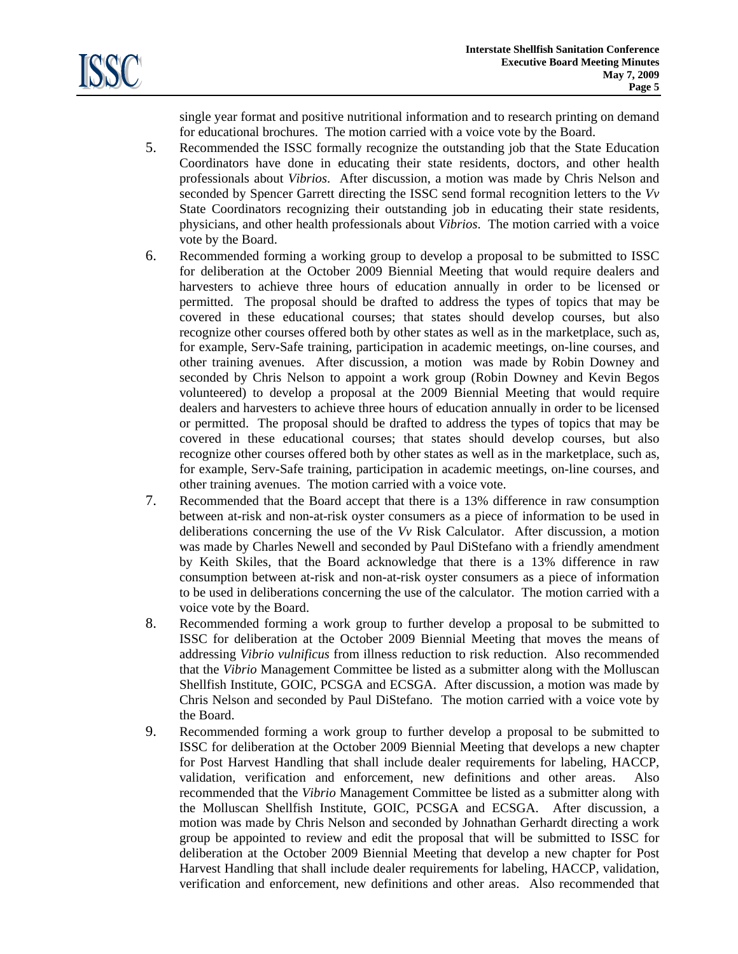

single year format and positive nutritional information and to research printing on demand for educational brochures. The motion carried with a voice vote by the Board.

- 5. Recommended the ISSC formally recognize the outstanding job that the State Education Coordinators have done in educating their state residents, doctors, and other health professionals about *Vibrios*. After discussion, a motion was made by Chris Nelson and seconded by Spencer Garrett directing the ISSC send formal recognition letters to the *Vv*  State Coordinators recognizing their outstanding job in educating their state residents, physicians, and other health professionals about *Vibrios*. The motion carried with a voice vote by the Board.
- 6. Recommended forming a working group to develop a proposal to be submitted to ISSC for deliberation at the October 2009 Biennial Meeting that would require dealers and harvesters to achieve three hours of education annually in order to be licensed or permitted. The proposal should be drafted to address the types of topics that may be covered in these educational courses; that states should develop courses, but also recognize other courses offered both by other states as well as in the marketplace, such as, for example, Serv-Safe training, participation in academic meetings, on-line courses, and other training avenues. After discussion, a motion was made by Robin Downey and seconded by Chris Nelson to appoint a work group (Robin Downey and Kevin Begos volunteered) to develop a proposal at the 2009 Biennial Meeting that would require dealers and harvesters to achieve three hours of education annually in order to be licensed or permitted. The proposal should be drafted to address the types of topics that may be covered in these educational courses; that states should develop courses, but also recognize other courses offered both by other states as well as in the marketplace, such as, for example, Serv-Safe training, participation in academic meetings, on-line courses, and other training avenues. The motion carried with a voice vote.
- 7. Recommended that the Board accept that there is a 13% difference in raw consumption between at-risk and non-at-risk oyster consumers as a piece of information to be used in deliberations concerning the use of the *Vv* Risk Calculator. After discussion, a motion was made by Charles Newell and seconded by Paul DiStefano with a friendly amendment by Keith Skiles, that the Board acknowledge that there is a 13% difference in raw consumption between at-risk and non-at-risk oyster consumers as a piece of information to be used in deliberations concerning the use of the calculator. The motion carried with a voice vote by the Board.
- 8. Recommended forming a work group to further develop a proposal to be submitted to ISSC for deliberation at the October 2009 Biennial Meeting that moves the means of addressing *Vibrio vulnificus* from illness reduction to risk reduction. Also recommended that the *Vibrio* Management Committee be listed as a submitter along with the Molluscan Shellfish Institute, GOIC, PCSGA and ECSGA. After discussion, a motion was made by Chris Nelson and seconded by Paul DiStefano. The motion carried with a voice vote by the Board.
- 9. Recommended forming a work group to further develop a proposal to be submitted to ISSC for deliberation at the October 2009 Biennial Meeting that develops a new chapter for Post Harvest Handling that shall include dealer requirements for labeling, HACCP, validation, verification and enforcement, new definitions and other areas. Also recommended that the *Vibrio* Management Committee be listed as a submitter along with the Molluscan Shellfish Institute, GOIC, PCSGA and ECSGA. After discussion, a motion was made by Chris Nelson and seconded by Johnathan Gerhardt directing a work group be appointed to review and edit the proposal that will be submitted to ISSC for deliberation at the October 2009 Biennial Meeting that develop a new chapter for Post Harvest Handling that shall include dealer requirements for labeling, HACCP, validation, verification and enforcement, new definitions and other areas. Also recommended that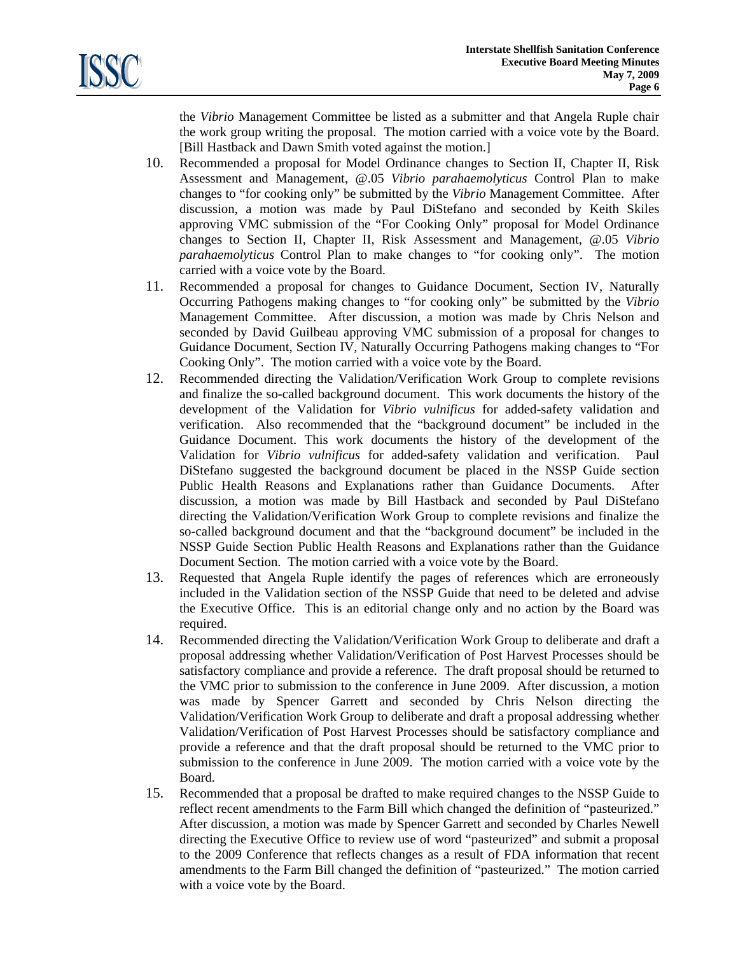the *Vibrio* Management Committee be listed as a submitter and that Angela Ruple chair the work group writing the proposal. The motion carried with a voice vote by the Board. [Bill Hastback and Dawn Smith voted against the motion.]

- 10. Recommended a proposal for Model Ordinance changes to Section II, Chapter II, Risk Assessment and Management, @.05 *Vibrio parahaemolyticus* Control Plan to make changes to "for cooking only" be submitted by the *Vibrio* Management Committee. After discussion, a motion was made by Paul DiStefano and seconded by Keith Skiles approving VMC submission of the "For Cooking Only" proposal for Model Ordinance changes to Section II, Chapter II, Risk Assessment and Management, @.05 *Vibrio parahaemolyticus* Control Plan to make changes to "for cooking only". The motion carried with a voice vote by the Board.
- 11. Recommended a proposal for changes to Guidance Document, Section IV, Naturally Occurring Pathogens making changes to "for cooking only" be submitted by the *Vibrio* Management Committee. After discussion, a motion was made by Chris Nelson and seconded by David Guilbeau approving VMC submission of a proposal for changes to Guidance Document, Section IV, Naturally Occurring Pathogens making changes to "For Cooking Only". The motion carried with a voice vote by the Board.
- 12. Recommended directing the Validation/Verification Work Group to complete revisions and finalize the so-called background document. This work documents the history of the development of the Validation for *Vibrio vulnificus* for added-safety validation and verification. Also recommended that the "background document" be included in the Guidance Document. This work documents the history of the development of the Validation for *Vibrio vulnificus* for added-safety validation and verification. Paul DiStefano suggested the background document be placed in the NSSP Guide section Public Health Reasons and Explanations rather than Guidance Documents. After discussion, a motion was made by Bill Hastback and seconded by Paul DiStefano directing the Validation/Verification Work Group to complete revisions and finalize the so-called background document and that the "background document" be included in the NSSP Guide Section Public Health Reasons and Explanations rather than the Guidance Document Section. The motion carried with a voice vote by the Board.
- 13. Requested that Angela Ruple identify the pages of references which are erroneously included in the Validation section of the NSSP Guide that need to be deleted and advise the Executive Office. This is an editorial change only and no action by the Board was required.
- 14. Recommended directing the Validation/Verification Work Group to deliberate and draft a proposal addressing whether Validation/Verification of Post Harvest Processes should be satisfactory compliance and provide a reference. The draft proposal should be returned to the VMC prior to submission to the conference in June 2009. After discussion, a motion was made by Spencer Garrett and seconded by Chris Nelson directing the Validation/Verification Work Group to deliberate and draft a proposal addressing whether Validation/Verification of Post Harvest Processes should be satisfactory compliance and provide a reference and that the draft proposal should be returned to the VMC prior to submission to the conference in June 2009. The motion carried with a voice vote by the Board.
- 15. Recommended that a proposal be drafted to make required changes to the NSSP Guide to reflect recent amendments to the Farm Bill which changed the definition of "pasteurized." After discussion, a motion was made by Spencer Garrett and seconded by Charles Newell directing the Executive Office to review use of word "pasteurized" and submit a proposal to the 2009 Conference that reflects changes as a result of FDA information that recent amendments to the Farm Bill changed the definition of "pasteurized." The motion carried with a voice vote by the Board.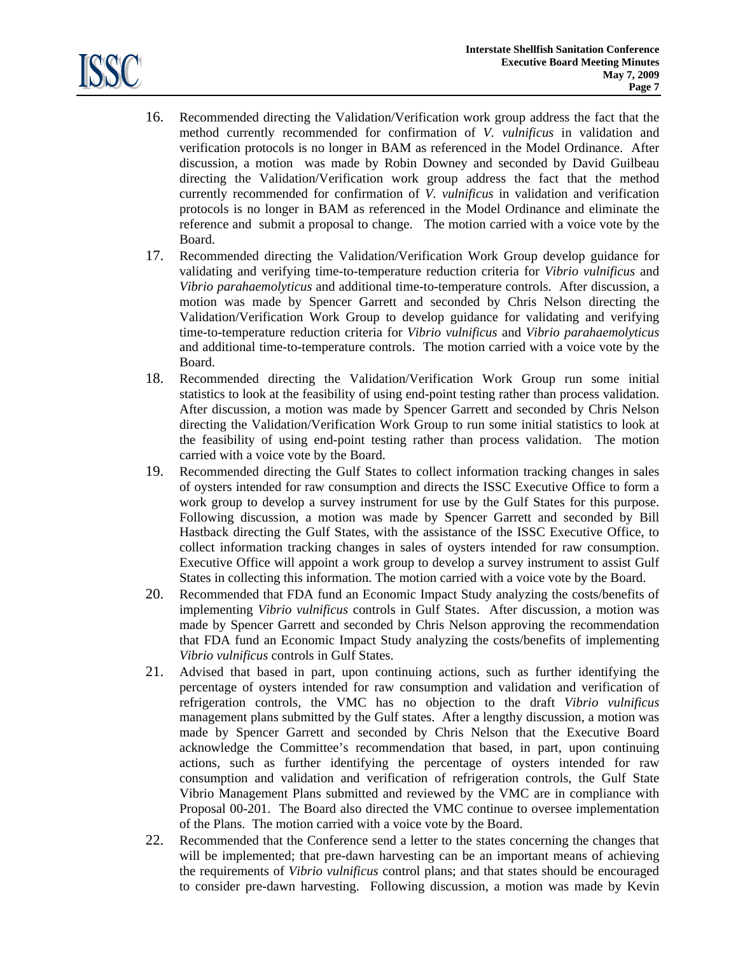

- 16. Recommended directing the Validation/Verification work group address the fact that the method currently recommended for confirmation of *V. vulnificus* in validation and verification protocols is no longer in BAM as referenced in the Model Ordinance. After discussion, a motion was made by Robin Downey and seconded by David Guilbeau directing the Validation/Verification work group address the fact that the method currently recommended for confirmation of *V. vulnificus* in validation and verification protocols is no longer in BAM as referenced in the Model Ordinance and eliminate the reference and submit a proposal to change. The motion carried with a voice vote by the Board.
- 17. Recommended directing the Validation/Verification Work Group develop guidance for validating and verifying time-to-temperature reduction criteria for *Vibrio vulnificus* and *Vibrio parahaemolyticus* and additional time-to-temperature controls. After discussion, a motion was made by Spencer Garrett and seconded by Chris Nelson directing the Validation/Verification Work Group to develop guidance for validating and verifying time-to-temperature reduction criteria for *Vibrio vulnificus* and *Vibrio parahaemolyticus*  and additional time-to-temperature controls. The motion carried with a voice vote by the Board.
- 18. Recommended directing the Validation/Verification Work Group run some initial statistics to look at the feasibility of using end-point testing rather than process validation. After discussion, a motion was made by Spencer Garrett and seconded by Chris Nelson directing the Validation/Verification Work Group to run some initial statistics to look at the feasibility of using end-point testing rather than process validation. The motion carried with a voice vote by the Board.
- 19. Recommended directing the Gulf States to collect information tracking changes in sales of oysters intended for raw consumption and directs the ISSC Executive Office to form a work group to develop a survey instrument for use by the Gulf States for this purpose. Following discussion, a motion was made by Spencer Garrett and seconded by Bill Hastback directing the Gulf States, with the assistance of the ISSC Executive Office, to collect information tracking changes in sales of oysters intended for raw consumption. Executive Office will appoint a work group to develop a survey instrument to assist Gulf States in collecting this information. The motion carried with a voice vote by the Board.
- 20. Recommended that FDA fund an Economic Impact Study analyzing the costs/benefits of implementing *Vibrio vulnificus* controls in Gulf States. After discussion, a motion was made by Spencer Garrett and seconded by Chris Nelson approving the recommendation that FDA fund an Economic Impact Study analyzing the costs/benefits of implementing *Vibrio vulnificus* controls in Gulf States.
- 21. Advised that based in part, upon continuing actions, such as further identifying the percentage of oysters intended for raw consumption and validation and verification of refrigeration controls, the VMC has no objection to the draft *Vibrio vulnificus* management plans submitted by the Gulf states. After a lengthy discussion, a motion was made by Spencer Garrett and seconded by Chris Nelson that the Executive Board acknowledge the Committee's recommendation that based, in part, upon continuing actions, such as further identifying the percentage of oysters intended for raw consumption and validation and verification of refrigeration controls, the Gulf State Vibrio Management Plans submitted and reviewed by the VMC are in compliance with Proposal 00-201. The Board also directed the VMC continue to oversee implementation of the Plans. The motion carried with a voice vote by the Board.
- 22. Recommended that the Conference send a letter to the states concerning the changes that will be implemented; that pre-dawn harvesting can be an important means of achieving the requirements of *Vibrio vulnificus* control plans; and that states should be encouraged to consider pre-dawn harvesting. Following discussion, a motion was made by Kevin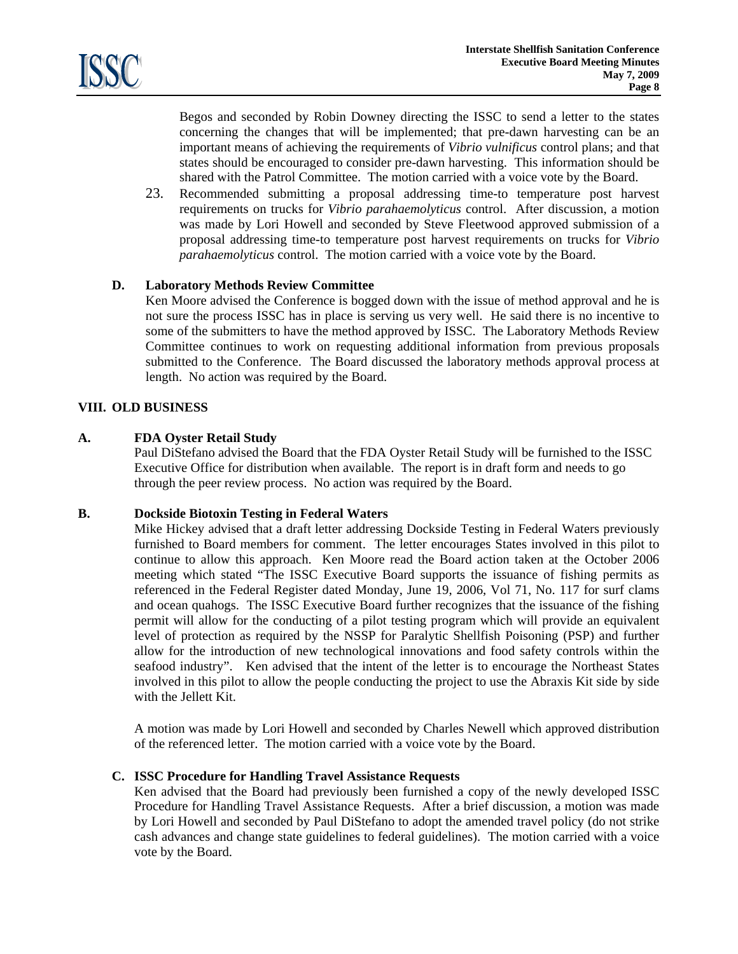

Begos and seconded by Robin Downey directing the ISSC to send a letter to the states concerning the changes that will be implemented; that pre-dawn harvesting can be an important means of achieving the requirements of *Vibrio vulnificus* control plans; and that states should be encouraged to consider pre-dawn harvesting. This information should be shared with the Patrol Committee. The motion carried with a voice vote by the Board.

23. Recommended submitting a proposal addressing time-to temperature post harvest requirements on trucks for *Vibrio parahaemolyticus* control. After discussion, a motion was made by Lori Howell and seconded by Steve Fleetwood approved submission of a proposal addressing time-to temperature post harvest requirements on trucks for *Vibrio parahaemolyticus* control. The motion carried with a voice vote by the Board.

### **D. Laboratory Methods Review Committee**

 Ken Moore advised the Conference is bogged down with the issue of method approval and he is not sure the process ISSC has in place is serving us very well. He said there is no incentive to some of the submitters to have the method approved by ISSC. The Laboratory Methods Review Committee continues to work on requesting additional information from previous proposals submitted to the Conference. The Board discussed the laboratory methods approval process at length. No action was required by the Board.

### **VIII. OLD BUSINESS**

# **A. FDA Oyster Retail Study**

 Paul DiStefano advised the Board that the FDA Oyster Retail Study will be furnished to the ISSC Executive Office for distribution when available. The report is in draft form and needs to go through the peer review process. No action was required by the Board.

### **B. Dockside Biotoxin Testing in Federal Waters**

Mike Hickey advised that a draft letter addressing Dockside Testing in Federal Waters previously furnished to Board members for comment. The letter encourages States involved in this pilot to continue to allow this approach. Ken Moore read the Board action taken at the October 2006 meeting which stated "The ISSC Executive Board supports the issuance of fishing permits as referenced in the Federal Register dated Monday, June 19, 2006, Vol 71, No. 117 for surf clams and ocean quahogs. The ISSC Executive Board further recognizes that the issuance of the fishing permit will allow for the conducting of a pilot testing program which will provide an equivalent level of protection as required by the NSSP for Paralytic Shellfish Poisoning (PSP) and further allow for the introduction of new technological innovations and food safety controls within the seafood industry". Ken advised that the intent of the letter is to encourage the Northeast States involved in this pilot to allow the people conducting the project to use the Abraxis Kit side by side with the Jellett Kit.

A motion was made by Lori Howell and seconded by Charles Newell which approved distribution of the referenced letter. The motion carried with a voice vote by the Board.

### **C. ISSC Procedure for Handling Travel Assistance Requests**

 Ken advised that the Board had previously been furnished a copy of the newly developed ISSC Procedure for Handling Travel Assistance Requests. After a brief discussion, a motion was made by Lori Howell and seconded by Paul DiStefano to adopt the amended travel policy (do not strike cash advances and change state guidelines to federal guidelines). The motion carried with a voice vote by the Board.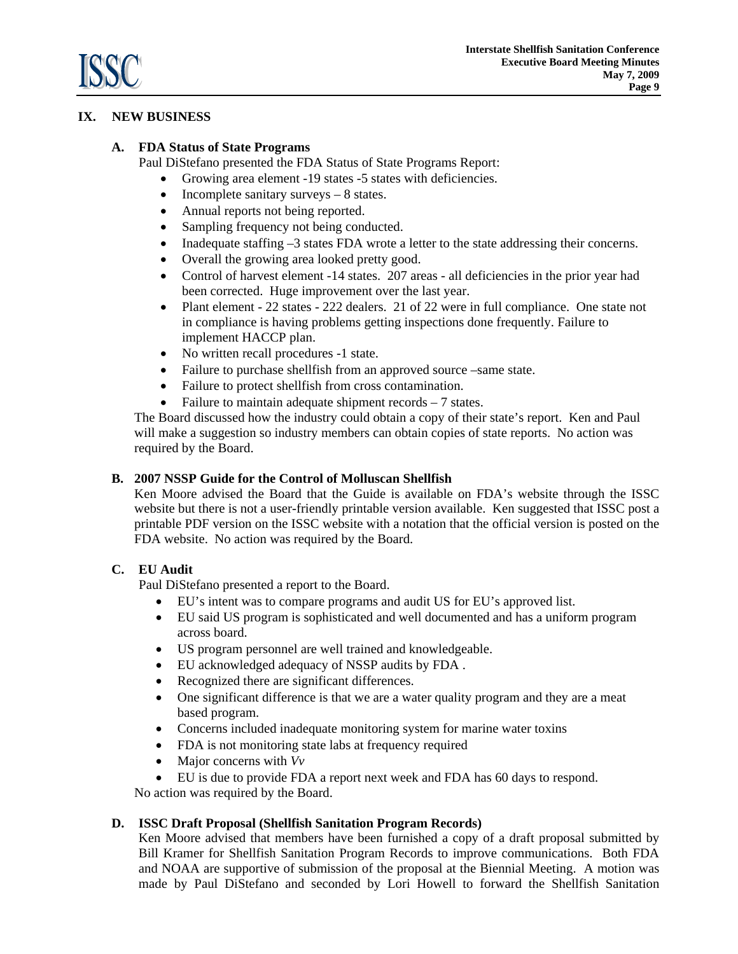

# **IX. NEW BUSINESS**

# **A. FDA Status of State Programs**

Paul DiStefano presented the FDA Status of State Programs Report:

- Growing area element -19 states -5 states with deficiencies.
- Incomplete sanitary surveys 8 states.
- Annual reports not being reported.
- Sampling frequency not being conducted.
- Inadequate staffing –3 states FDA wrote a letter to the state addressing their concerns.
- Overall the growing area looked pretty good.
- Control of harvest element -14 states. 207 areas all deficiencies in the prior year had been corrected. Huge improvement over the last year.
- Plant element 22 states 222 dealers. 21 of 22 were in full compliance. One state not in compliance is having problems getting inspections done frequently. Failure to implement HACCP plan.
- No written recall procedures -1 state.
- Failure to purchase shellfish from an approved source –same state.
- Failure to protect shellfish from cross contamination.
- Failure to maintain adequate shipment records 7 states.

The Board discussed how the industry could obtain a copy of their state's report. Ken and Paul will make a suggestion so industry members can obtain copies of state reports. No action was required by the Board.

## **B. 2007 NSSP Guide for the Control of Molluscan Shellfish**

 Ken Moore advised the Board that the Guide is available on FDA's website through the ISSC website but there is not a user-friendly printable version available. Ken suggested that ISSC post a printable PDF version on the ISSC website with a notation that the official version is posted on the FDA website. No action was required by the Board.

# **C. EU Audit**

Paul DiStefano presented a report to the Board.

- EU's intent was to compare programs and audit US for EU's approved list.
- EU said US program is sophisticated and well documented and has a uniform program across board.
- US program personnel are well trained and knowledgeable.
- EU acknowledged adequacy of NSSP audits by FDA .
- Recognized there are significant differences.
- One significant difference is that we are a water quality program and they are a meat based program.
- Concerns included inadequate monitoring system for marine water toxins
- FDA is not monitoring state labs at frequency required
- Major concerns with *Vv*
- EU is due to provide FDA a report next week and FDA has 60 days to respond.

No action was required by the Board.

### **D. ISSC Draft Proposal (Shellfish Sanitation Program Records)**

 Ken Moore advised that members have been furnished a copy of a draft proposal submitted by Bill Kramer for Shellfish Sanitation Program Records to improve communications. Both FDA and NOAA are supportive of submission of the proposal at the Biennial Meeting. A motion was made by Paul DiStefano and seconded by Lori Howell to forward the Shellfish Sanitation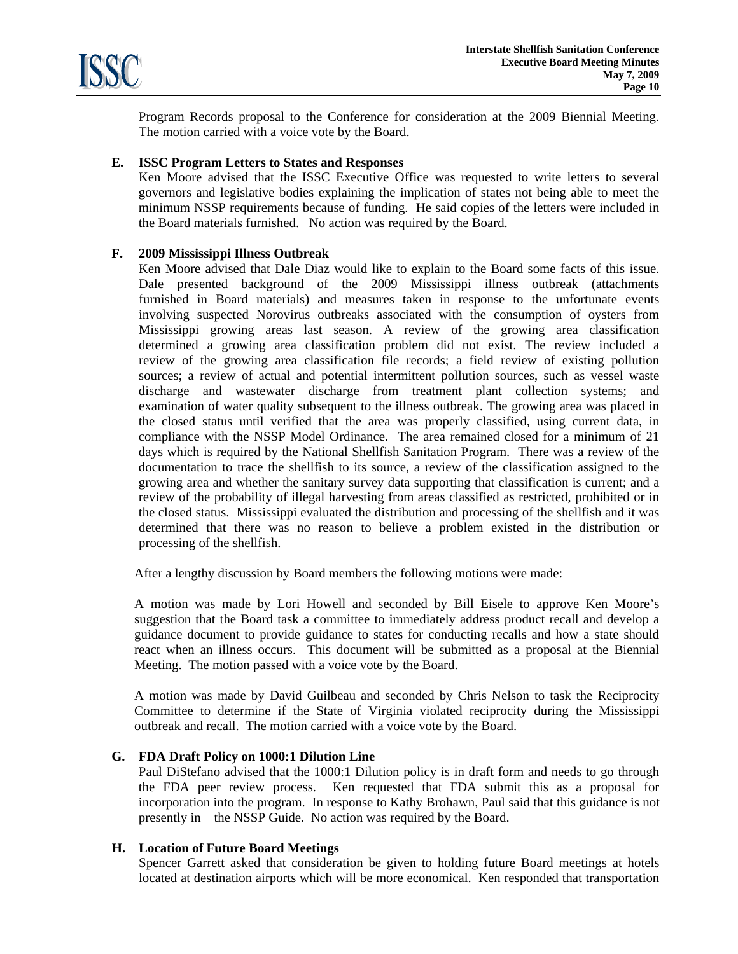

Program Records proposal to the Conference for consideration at the 2009 Biennial Meeting. The motion carried with a voice vote by the Board.

### **E. ISSC Program Letters to States and Responses**

 Ken Moore advised that the ISSC Executive Office was requested to write letters to several governors and legislative bodies explaining the implication of states not being able to meet the minimum NSSP requirements because of funding. He said copies of the letters were included in the Board materials furnished. No action was required by the Board.

# **F. 2009 Mississippi Illness Outbreak**

 Ken Moore advised that Dale Diaz would like to explain to the Board some facts of this issue. Dale presented background of the 2009 Mississippi illness outbreak (attachments furnished in Board materials) and measures taken in response to the unfortunate events involving suspected Norovirus outbreaks associated with the consumption of oysters from Mississippi growing areas last season. A review of the growing area classification determined a growing area classification problem did not exist. The review included a review of the growing area classification file records; a field review of existing pollution sources; a review of actual and potential intermittent pollution sources, such as vessel waste discharge and wastewater discharge from treatment plant collection systems; and examination of water quality subsequent to the illness outbreak. The growing area was placed in the closed status until verified that the area was properly classified, using current data, in compliance with the NSSP Model Ordinance. The area remained closed for a minimum of 21 days which is required by the National Shellfish Sanitation Program. There was a review of the documentation to trace the shellfish to its source, a review of the classification assigned to the growing area and whether the sanitary survey data supporting that classification is current; and a review of the probability of illegal harvesting from areas classified as restricted, prohibited or in the closed status. Mississippi evaluated the distribution and processing of the shellfish and it was determined that there was no reason to believe a problem existed in the distribution or processing of the shellfish.

After a lengthy discussion by Board members the following motions were made:

 A motion was made by Lori Howell and seconded by Bill Eisele to approve Ken Moore's suggestion that the Board task a committee to immediately address product recall and develop a guidance document to provide guidance to states for conducting recalls and how a state should react when an illness occurs. This document will be submitted as a proposal at the Biennial Meeting. The motion passed with a voice vote by the Board.

 A motion was made by David Guilbeau and seconded by Chris Nelson to task the Reciprocity Committee to determine if the State of Virginia violated reciprocity during the Mississippi outbreak and recall. The motion carried with a voice vote by the Board.

### **G. FDA Draft Policy on 1000:1 Dilution Line**

 Paul DiStefano advised that the 1000:1 Dilution policy is in draft form and needs to go through the FDA peer review process. Ken requested that FDA submit this as a proposal for incorporation into the program. In response to Kathy Brohawn, Paul said that this guidance is not presently in the NSSP Guide. No action was required by the Board.

## **H. Location of Future Board Meetings**

 Spencer Garrett asked that consideration be given to holding future Board meetings at hotels located at destination airports which will be more economical. Ken responded that transportation